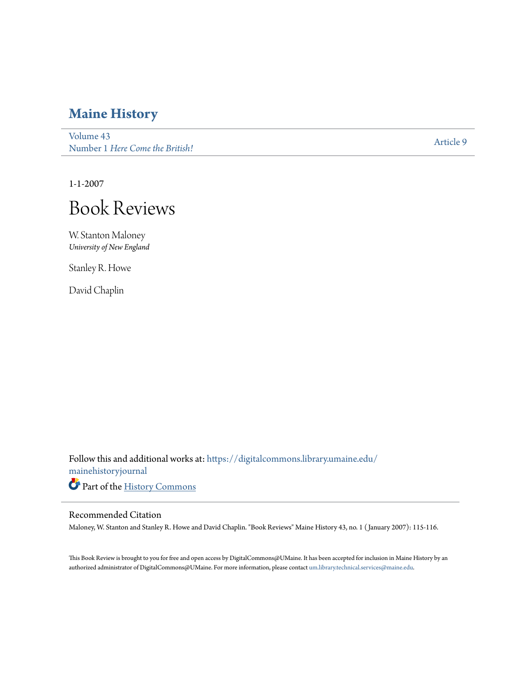## **[Maine History](https://digitalcommons.library.umaine.edu/mainehistoryjournal?utm_source=digitalcommons.library.umaine.edu%2Fmainehistoryjournal%2Fvol43%2Fiss1%2F9&utm_medium=PDF&utm_campaign=PDFCoverPages)**

[Volume 43](https://digitalcommons.library.umaine.edu/mainehistoryjournal/vol43?utm_source=digitalcommons.library.umaine.edu%2Fmainehistoryjournal%2Fvol43%2Fiss1%2F9&utm_medium=PDF&utm_campaign=PDFCoverPages) Number 1 *[Here Come the British!](https://digitalcommons.library.umaine.edu/mainehistoryjournal/vol43/iss1?utm_source=digitalcommons.library.umaine.edu%2Fmainehistoryjournal%2Fvol43%2Fiss1%2F9&utm_medium=PDF&utm_campaign=PDFCoverPages)* [Article 9](https://digitalcommons.library.umaine.edu/mainehistoryjournal/vol43/iss1/9?utm_source=digitalcommons.library.umaine.edu%2Fmainehistoryjournal%2Fvol43%2Fiss1%2F9&utm_medium=PDF&utm_campaign=PDFCoverPages)

1-1-2007



W. Stanton Maloney *University of New England*

Stanley R. Howe

David Chaplin

Follow this and additional works at: [https://digitalcommons.library.umaine.edu/](https://digitalcommons.library.umaine.edu/mainehistoryjournal?utm_source=digitalcommons.library.umaine.edu%2Fmainehistoryjournal%2Fvol43%2Fiss1%2F9&utm_medium=PDF&utm_campaign=PDFCoverPages) [mainehistoryjournal](https://digitalcommons.library.umaine.edu/mainehistoryjournal?utm_source=digitalcommons.library.umaine.edu%2Fmainehistoryjournal%2Fvol43%2Fiss1%2F9&utm_medium=PDF&utm_campaign=PDFCoverPages) Part of the [History Commons](http://network.bepress.com/hgg/discipline/489?utm_source=digitalcommons.library.umaine.edu%2Fmainehistoryjournal%2Fvol43%2Fiss1%2F9&utm_medium=PDF&utm_campaign=PDFCoverPages)

## Recommended Citation

Maloney, W. Stanton and Stanley R. Howe and David Chaplin. "Book Reviews" Maine History 43, no. 1 ( January 2007): 115-116.

This Book Review is brought to you for free and open access by DigitalCommons@UMaine. It has been accepted for inclusion in Maine History by an authorized administrator of DigitalCommons@UMaine. For more information, please contact [um.library.technical.services@maine.edu.](mailto:um.library.technical.services@maine.edu)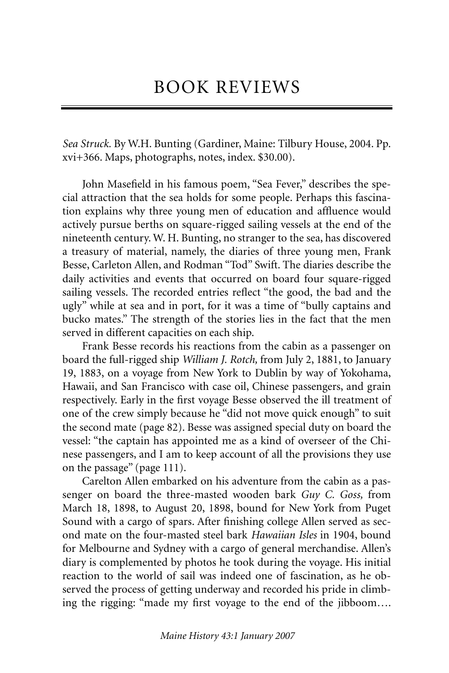*Sea Struck.* By W.H. Bunting (Gardiner, Maine: Tilbury House, 2004. Pp. xvi+366. Maps, photographs, notes, index. \$30.00).

John Masefield in his famous poem, "Sea Fever," describes the special attraction that the sea holds for some people. Perhaps this fascination explains why three young men of education and affluence would actively pursue berths on square-rigged sailing vessels at the end of the nineteenth century. W. H. Bunting, no stranger to the sea, has discovered a treasury of material, namely, the diaries of three young men, Frank Besse, Carleton Allen, and Rodman "Tod" Swift. The diaries describe the daily activities and events that occurred on board four square-rigged sailing vessels. The recorded entries reflect "the good, the bad and the ugly" while at sea and in port, for it was a time of "bully captains and bucko mates." The strength of the stories lies in the fact that the men served in different capacities on each ship.

Frank Besse records his reactions from the cabin as a passenger on board the full-rigged ship *William J. Rotch,* from July 2, 1881, to January 19, 1883, on a voyage from New York to Dublin by way of Yokohama, Hawaii, and San Francisco with case oil, Chinese passengers, and grain respectively. Early in the first voyage Besse observed the ill treatment of one of the crew simply because he "did not move quick enough" to suit the second mate (page 82). Besse was assigned special duty on board the vessel: "the captain has appointed me as a kind of overseer of the Chinese passengers, and I am to keep account of all the provisions they use on the passage" (page 111).

Carelton Allen embarked on his adventure from the cabin as a passenger on board the three-masted wooden bark *Guy C. Goss,* from March 18, 1898, to August 20, 1898, bound for New York from Puget Sound with a cargo of spars. After finishing college Allen served as second mate on the four-masted steel bark *Hawaiian Isles* in 1904, bound for Melbourne and Sydney with a cargo of general merchandise. Allen's diary is complemented by photos he took during the voyage. His initial reaction to the world of sail was indeed one of fascination, as he observed the process of getting underway and recorded his pride in climbing the rigging: "made my first voyage to the end of the jibboom….